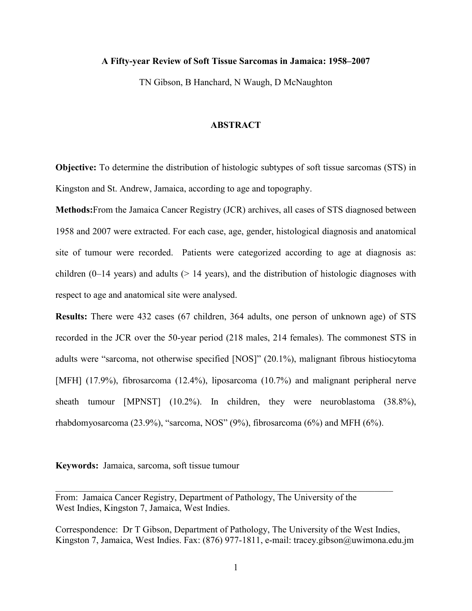# **A Fifty-year Review of Soft Tissue Sarcomas in Jamaica: 1958–2007**

TN Gibson, B Hanchard, N Waugh, D McNaughton

## **ABSTRACT**

**Objective:** To determine the distribution of histologic subtypes of soft tissue sarcomas (STS) in Kingston and St. Andrew, Jamaica, according to age and topography.

**Methods:**From the Jamaica Cancer Registry (JCR) archives, all cases of STS diagnosed between 1958 and 2007 were extracted. For each case, age, gender, histological diagnosis and anatomical site of tumour were recorded. Patients were categorized according to age at diagnosis as: children (0–14 years) and adults ( $> 14$  years), and the distribution of histologic diagnoses with respect to age and anatomical site were analysed.

**Results:** There were 432 cases (67 children, 364 adults, one person of unknown age) of STS recorded in the JCR over the 50-year period (218 males, 214 females). The commonest STS in adults were "sarcoma, not otherwise specified [NOS]" (20.1%), malignant fibrous histiocytoma [MFH] (17.9%), fibrosarcoma (12.4%), liposarcoma (10.7%) and malignant peripheral nerve sheath tumour [MPNST] (10.2%). In children, they were neuroblastoma (38.8%), rhabdomyosarcoma (23.9%), "sarcoma, NOS" (9%), fibrosarcoma (6%) and MFH (6%).

**Keywords:** Jamaica, sarcoma, soft tissue tumour

From: Jamaica Cancer Registry, Department of Pathology, The University of the West Indies, Kingston 7, Jamaica, West Indies.

Correspondence: Dr T Gibson, Department of Pathology, The University of the West Indies, Kingston 7, Jamaica, West Indies. Fax: (876) 977-1811, e-mail: tracey.gibson@uwimona.edu.jm

 $\mathcal{L}_\mathcal{L} = \{ \mathcal{L}_\mathcal{L} = \{ \mathcal{L}_\mathcal{L} = \{ \mathcal{L}_\mathcal{L} = \{ \mathcal{L}_\mathcal{L} = \{ \mathcal{L}_\mathcal{L} = \{ \mathcal{L}_\mathcal{L} = \{ \mathcal{L}_\mathcal{L} = \{ \mathcal{L}_\mathcal{L} = \{ \mathcal{L}_\mathcal{L} = \{ \mathcal{L}_\mathcal{L} = \{ \mathcal{L}_\mathcal{L} = \{ \mathcal{L}_\mathcal{L} = \{ \mathcal{L}_\mathcal{L} = \{ \mathcal{L}_\mathcal{$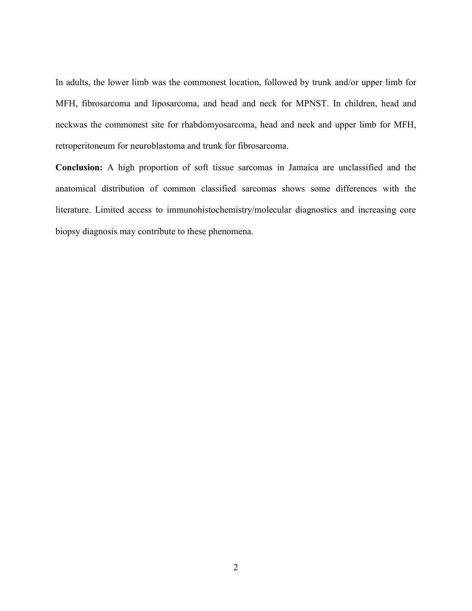In adults, the lower limb was the commonest location, followed by trunk and/or upper limb for MFH, fibrosarcoma and liposarcoma, and head and neck for MPNST. In children, head and neckwas the commonest site for rhabdomyosarcoma, head and neck and upper limb for MFH, retroperitoneum for neuroblastoma and trunk for fibrosarcoma.

**Conclusion:** A high proportion of soft tissue sarcomas in Jamaica are unclassified and the anatomical distribution of common classified sarcomas shows some differences with the literature. Limited access to immunohistochemistry/molecular diagnostics and increasing core biopsy diagnosis may contribute to these phenomena.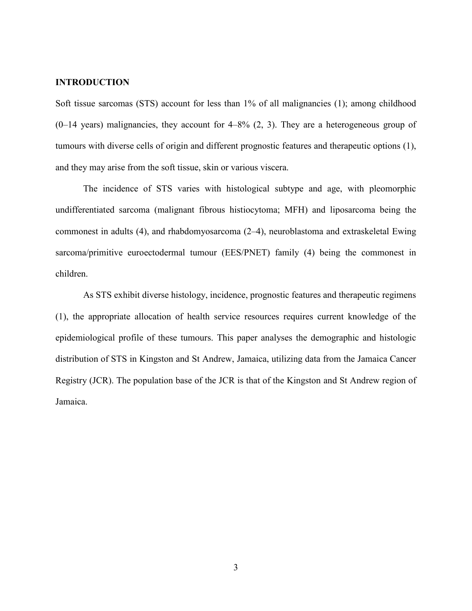# **INTRODUCTION**

Soft tissue sarcomas (STS) account for less than 1% of all malignancies (1); among childhood  $(0-14 \text{ years})$  malignancies, they account for  $4-8\%$   $(2, 3)$ . They are a heterogeneous group of tumours with diverse cells of origin and different prognostic features and therapeutic options (1), and they may arise from the soft tissue, skin or various viscera.

The incidence of STS varies with histological subtype and age, with pleomorphic undifferentiated sarcoma (malignant fibrous histiocytoma; MFH) and liposarcoma being the commonest in adults (4), and rhabdomyosarcoma (2–4), neuroblastoma and extraskeletal Ewing sarcoma/primitive euroectodermal tumour (EES/PNET) family (4) being the commonest in children.

As STS exhibit diverse histology, incidence, prognostic features and therapeutic regimens (1), the appropriate allocation of health service resources requires current knowledge of the epidemiological profile of these tumours. This paper analyses the demographic and histologic distribution of STS in Kingston and St Andrew, Jamaica, utilizing data from the Jamaica Cancer Registry (JCR). The population base of the JCR is that of the Kingston and St Andrew region of Jamaica.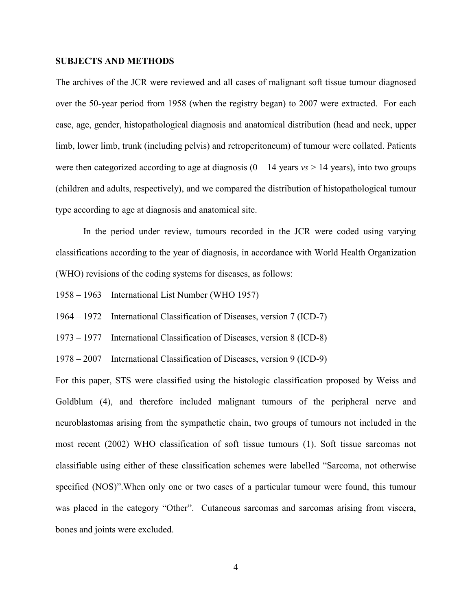## **SUBJECTS AND METHODS**

The archives of the JCR were reviewed and all cases of malignant soft tissue tumour diagnosed over the 50-year period from 1958 (when the registry began) to 2007 were extracted. For each case, age, gender, histopathological diagnosis and anatomical distribution (head and neck, upper limb, lower limb, trunk (including pelvis) and retroperitoneum) of tumour were collated. Patients were then categorized according to age at diagnosis  $(0 - 14 \text{ years})$  *vs* > 14 years), into two groups (children and adults, respectively), and we compared the distribution of histopathological tumour type according to age at diagnosis and anatomical site.

In the period under review, tumours recorded in the JCR were coded using varying classifications according to the year of diagnosis, in accordance with World Health Organization (WHO) revisions of the coding systems for diseases, as follows:

- 1958 1963 International List Number (WHO 1957)
- 1964 1972 International Classification of Diseases, version 7 (ICD-7)
- 1973 1977 International Classification of Diseases, version 8 (ICD-8)

1978 – 2007 International Classification of Diseases, version 9 (ICD-9)

For this paper, STS were classified using the histologic classification proposed by Weiss and Goldblum (4), and therefore included malignant tumours of the peripheral nerve and neuroblastomas arising from the sympathetic chain, two groups of tumours not included in the most recent (2002) WHO classification of soft tissue tumours (1). Soft tissue sarcomas not classifiable using either of these classification schemes were labelled "Sarcoma, not otherwise specified (NOS)".When only one or two cases of a particular tumour were found, this tumour was placed in the category "Other". Cutaneous sarcomas and sarcomas arising from viscera, bones and joints were excluded.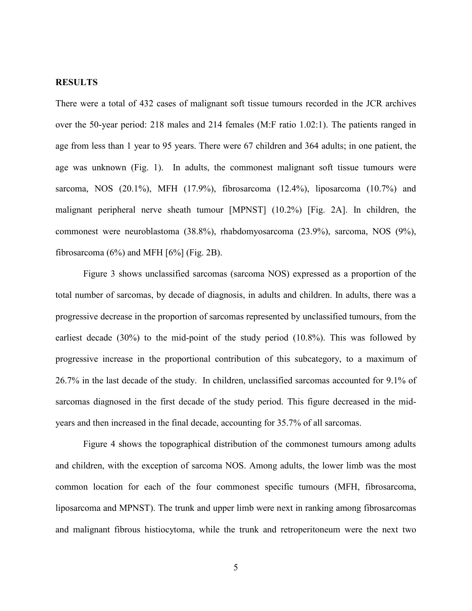## **RESULTS**

There were a total of 432 cases of malignant soft tissue tumours recorded in the JCR archives over the 50-year period: 218 males and 214 females (M:F ratio 1.02:1). The patients ranged in age from less than 1 year to 95 years. There were 67 children and 364 adults; in one patient, the age was unknown (Fig. 1). In adults, the commonest malignant soft tissue tumours were sarcoma, NOS (20.1%), MFH (17.9%), fibrosarcoma (12.4%), liposarcoma (10.7%) and malignant peripheral nerve sheath tumour [MPNST] (10.2%) [Fig. 2A]. In children, the commonest were neuroblastoma (38.8%), rhabdomyosarcoma (23.9%), sarcoma, NOS (9%), fibrosarcoma  $(6\%)$  and MFH  $[6\%]$  (Fig. 2B).

Figure 3 shows unclassified sarcomas (sarcoma NOS) expressed as a proportion of the total number of sarcomas, by decade of diagnosis, in adults and children. In adults, there was a progressive decrease in the proportion of sarcomas represented by unclassified tumours, from the earliest decade (30%) to the mid-point of the study period (10.8%). This was followed by progressive increase in the proportional contribution of this subcategory, to a maximum of 26.7% in the last decade of the study. In children, unclassified sarcomas accounted for 9.1% of sarcomas diagnosed in the first decade of the study period. This figure decreased in the midyears and then increased in the final decade, accounting for 35.7% of all sarcomas.

Figure 4 shows the topographical distribution of the commonest tumours among adults and children, with the exception of sarcoma NOS. Among adults, the lower limb was the most common location for each of the four commonest specific tumours (MFH, fibrosarcoma, liposarcoma and MPNST). The trunk and upper limb were next in ranking among fibrosarcomas and malignant fibrous histiocytoma, while the trunk and retroperitoneum were the next two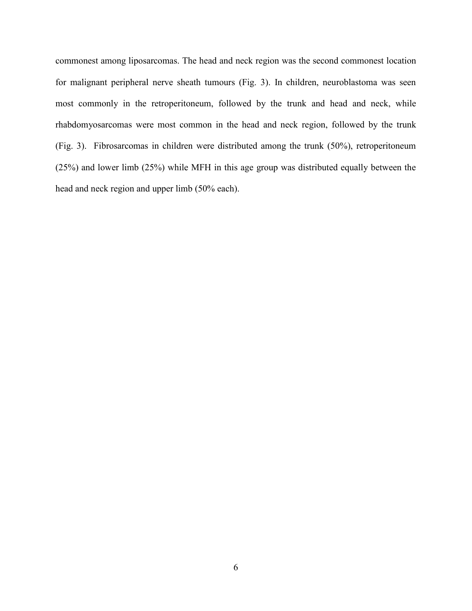commonest among liposarcomas. The head and neck region was the second commonest location for malignant peripheral nerve sheath tumours (Fig. 3). In children, neuroblastoma was seen most commonly in the retroperitoneum, followed by the trunk and head and neck, while rhabdomyosarcomas were most common in the head and neck region, followed by the trunk (Fig. 3). Fibrosarcomas in children were distributed among the trunk (50%), retroperitoneum (25%) and lower limb (25%) while MFH in this age group was distributed equally between the head and neck region and upper limb (50% each).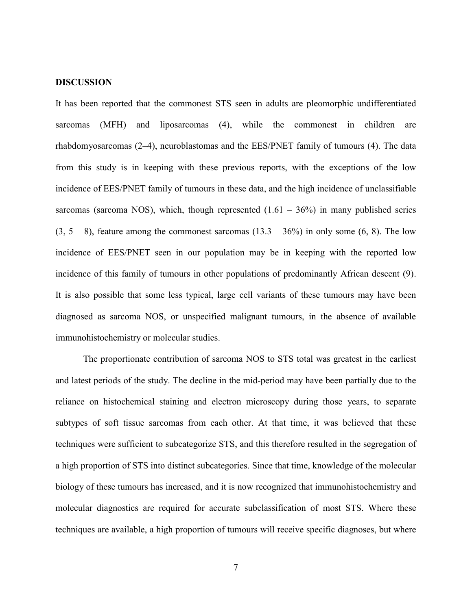#### **DISCUSSION**

It has been reported that the commonest STS seen in adults are pleomorphic undifferentiated sarcomas (MFH) and liposarcomas (4), while the commonest in children are rhabdomyosarcomas (2–4), neuroblastomas and the EES/PNET family of tumours (4). The data from this study is in keeping with these previous reports, with the exceptions of the low incidence of EES/PNET family of tumours in these data, and the high incidence of unclassifiable sarcomas (sarcoma NOS), which, though represented  $(1.61 - 36%)$  in many published series  $(3, 5 - 8)$ , feature among the commonest sarcomas  $(13.3 - 36%)$  in only some  $(6, 8)$ . The low incidence of EES/PNET seen in our population may be in keeping with the reported low incidence of this family of tumours in other populations of predominantly African descent (9). It is also possible that some less typical, large cell variants of these tumours may have been diagnosed as sarcoma NOS, or unspecified malignant tumours, in the absence of available immunohistochemistry or molecular studies.

The proportionate contribution of sarcoma NOS to STS total was greatest in the earliest and latest periods of the study. The decline in the mid-period may have been partially due to the reliance on histochemical staining and electron microscopy during those years, to separate subtypes of soft tissue sarcomas from each other. At that time, it was believed that these techniques were sufficient to subcategorize STS, and this therefore resulted in the segregation of a high proportion of STS into distinct subcategories. Since that time, knowledge of the molecular biology of these tumours has increased, and it is now recognized that immunohistochemistry and molecular diagnostics are required for accurate subclassification of most STS. Where these techniques are available, a high proportion of tumours will receive specific diagnoses, but where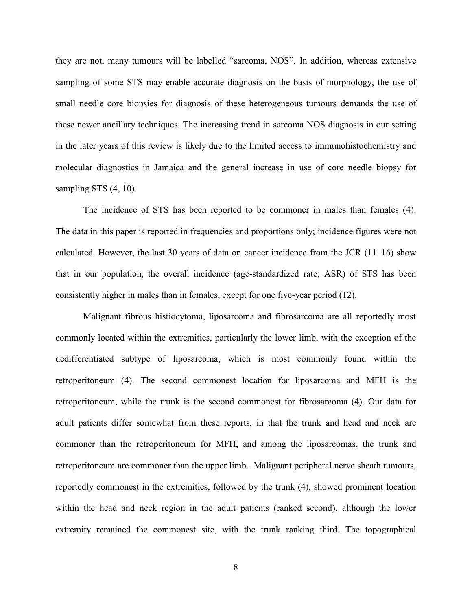they are not, many tumours will be labelled "sarcoma, NOS". In addition, whereas extensive sampling of some STS may enable accurate diagnosis on the basis of morphology, the use of small needle core biopsies for diagnosis of these heterogeneous tumours demands the use of these newer ancillary techniques. The increasing trend in sarcoma NOS diagnosis in our setting in the later years of this review is likely due to the limited access to immunohistochemistry and molecular diagnostics in Jamaica and the general increase in use of core needle biopsy for sampling STS  $(4, 10)$ .

The incidence of STS has been reported to be commoner in males than females (4). The data in this paper is reported in frequencies and proportions only; incidence figures were not calculated. However, the last 30 years of data on cancer incidence from the JCR (11–16) show that in our population, the overall incidence (age-standardized rate; ASR) of STS has been consistently higher in males than in females, except for one five-year period (12).

Malignant fibrous histiocytoma, liposarcoma and fibrosarcoma are all reportedly most commonly located within the extremities, particularly the lower limb, with the exception of the dedifferentiated subtype of liposarcoma, which is most commonly found within the retroperitoneum (4). The second commonest location for liposarcoma and MFH is the retroperitoneum, while the trunk is the second commonest for fibrosarcoma (4). Our data for adult patients differ somewhat from these reports, in that the trunk and head and neck are commoner than the retroperitoneum for MFH, and among the liposarcomas, the trunk and retroperitoneum are commoner than the upper limb. Malignant peripheral nerve sheath tumours, reportedly commonest in the extremities, followed by the trunk (4), showed prominent location within the head and neck region in the adult patients (ranked second), although the lower extremity remained the commonest site, with the trunk ranking third. The topographical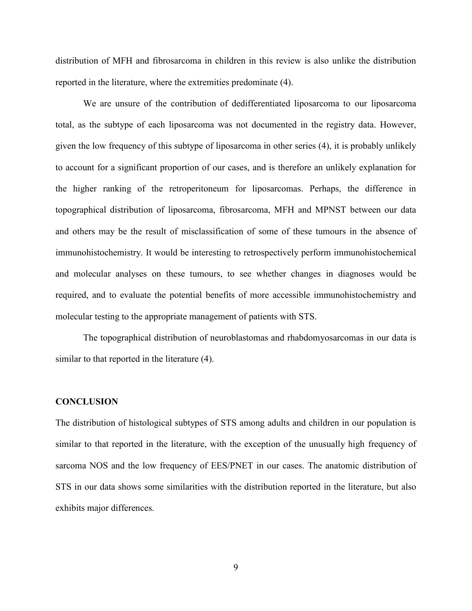distribution of MFH and fibrosarcoma in children in this review is also unlike the distribution reported in the literature, where the extremities predominate (4).

We are unsure of the contribution of dedifferentiated liposarcoma to our liposarcoma total, as the subtype of each liposarcoma was not documented in the registry data. However, given the low frequency of this subtype of liposarcoma in other series (4), it is probably unlikely to account for a significant proportion of our cases, and is therefore an unlikely explanation for the higher ranking of the retroperitoneum for liposarcomas. Perhaps, the difference in topographical distribution of liposarcoma, fibrosarcoma, MFH and MPNST between our data and others may be the result of misclassification of some of these tumours in the absence of immunohistochemistry. It would be interesting to retrospectively perform immunohistochemical and molecular analyses on these tumours, to see whether changes in diagnoses would be required, and to evaluate the potential benefits of more accessible immunohistochemistry and molecular testing to the appropriate management of patients with STS.

The topographical distribution of neuroblastomas and rhabdomyosarcomas in our data is similar to that reported in the literature (4).

#### **CONCLUSION**

The distribution of histological subtypes of STS among adults and children in our population is similar to that reported in the literature, with the exception of the unusually high frequency of sarcoma NOS and the low frequency of EES/PNET in our cases. The anatomic distribution of STS in our data shows some similarities with the distribution reported in the literature, but also exhibits major differences.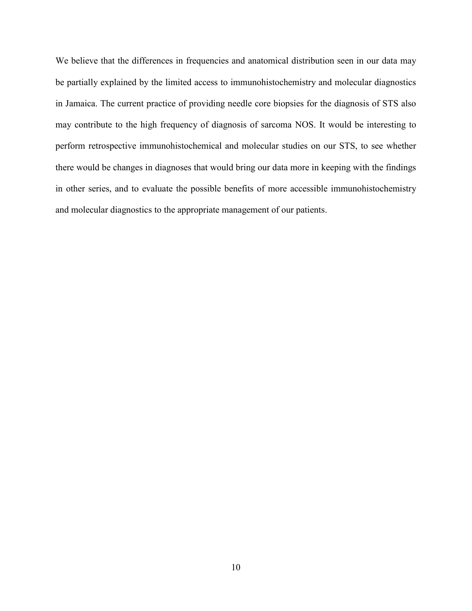We believe that the differences in frequencies and anatomical distribution seen in our data may be partially explained by the limited access to immunohistochemistry and molecular diagnostics in Jamaica. The current practice of providing needle core biopsies for the diagnosis of STS also may contribute to the high frequency of diagnosis of sarcoma NOS. It would be interesting to perform retrospective immunohistochemical and molecular studies on our STS, to see whether there would be changes in diagnoses that would bring our data more in keeping with the findings in other series, and to evaluate the possible benefits of more accessible immunohistochemistry and molecular diagnostics to the appropriate management of our patients.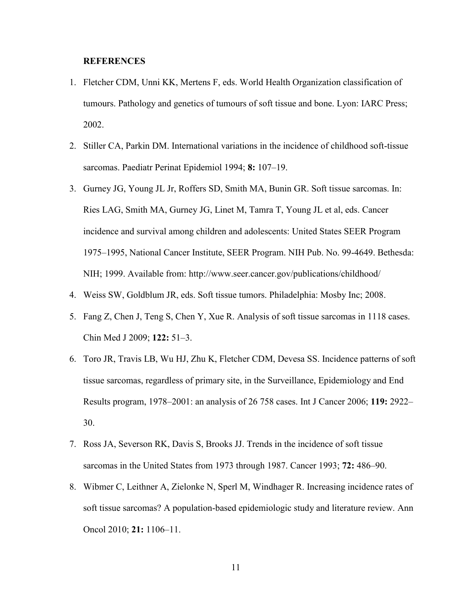# **REFERENCES**

- 1. Fletcher CDM, Unni KK, Mertens F, eds. World Health Organization classification of tumours. Pathology and genetics of tumours of soft tissue and bone. Lyon: IARC Press; 2002.
- 2. Stiller CA, Parkin DM. International variations in the incidence of childhood soft-tissue sarcomas. Paediatr Perinat Epidemiol 1994; **8:** 107–19.
- 3. Gurney JG, Young JL Jr, Roffers SD, Smith MA, Bunin GR. Soft tissue sarcomas. In: Ries LAG, Smith MA, Gurney JG, Linet M, Tamra T, Young JL et al, eds. Cancer incidence and survival among children and adolescents: United States SEER Program 1975–1995, National Cancer Institute, SEER Program. NIH Pub. No. 99-4649. Bethesda: NIH; 1999. Available from:<http://www.seer.cancer.gov/publications/childhood/>
- 4. Weiss SW, Goldblum JR, eds. Soft tissue tumors. Philadelphia: Mosby Inc; 2008.
- 5. Fang Z, Chen J, Teng S, Chen Y, Xue R. Analysis of soft tissue sarcomas in 1118 cases. Chin Med J 2009; **122:** 51–3.
- 6. Toro JR, Travis LB, Wu HJ, Zhu K, Fletcher CDM, Devesa SS. Incidence patterns of soft tissue sarcomas, regardless of primary site, in the Surveillance, Epidemiology and End Results program, 1978–2001: an analysis of 26 758 cases. Int J Cancer 2006; **119:** 2922– 30.
- 7. Ross JA, Severson RK, Davis S, Brooks JJ. Trends in the incidence of soft tissue sarcomas in the United States from 1973 through 1987. Cancer 1993; **72:** 486–90.
- 8. Wibmer C, Leithner A, Zielonke N, Sperl M, Windhager R. Increasing incidence rates of soft tissue sarcomas? A population-based epidemiologic study and literature review. Ann Oncol 2010; **21:** 1106–11.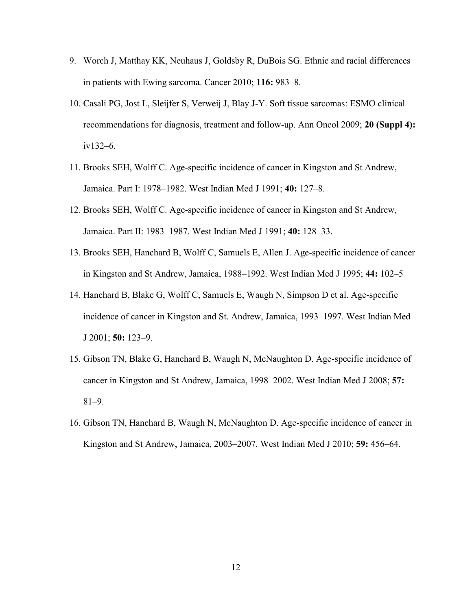- 9. Worch J, Matthay KK, Neuhaus J, Goldsby R, DuBois SG. Ethnic and racial differences in patients with Ewing sarcoma. Cancer 2010; **116:** 983–8.
- 10. Casali PG, Jost L, Sleijfer S, Verweij J, Blay J-Y. Soft tissue sarcomas: ESMO clinical recommendations for diagnosis, treatment and follow-up. Ann Oncol 2009; **20 (Suppl 4):** iv132–6.
- 11. Brooks SEH, Wolff C. Age-specific incidence of cancer in Kingston and St Andrew, Jamaica. Part I: 1978–1982. West Indian Med J 1991; **40:** 127–8.
- 12. Brooks SEH, Wolff C. Age-specific incidence of cancer in Kingston and St Andrew, Jamaica. Part II: 1983–1987. West Indian Med J 1991; **40:** 128–33.
- 13. Brooks SEH, Hanchard B, Wolff C, Samuels E, Allen J. Age-specific incidence of cancer in Kingston and St Andrew, Jamaica, 1988–1992. West Indian Med J 1995; **44:** 102–5
- 14. Hanchard B, Blake G, Wolff C, Samuels E, Waugh N, Simpson D et al. Age-specific incidence of cancer in Kingston and St. Andrew, Jamaica, 1993–1997. West Indian Med J 2001; **50:** 123–9.
- 15. Gibson TN, Blake G, Hanchard B, Waugh N, McNaughton D. Age-specific incidence of cancer in Kingston and St Andrew, Jamaica, 1998–2002. West Indian Med J 2008; **57:** 81–9.
- 16. Gibson TN, Hanchard B, Waugh N, McNaughton D. Age-specific incidence of cancer in Kingston and St Andrew, Jamaica, 2003–2007. West Indian Med J 2010; **59:** 456–64.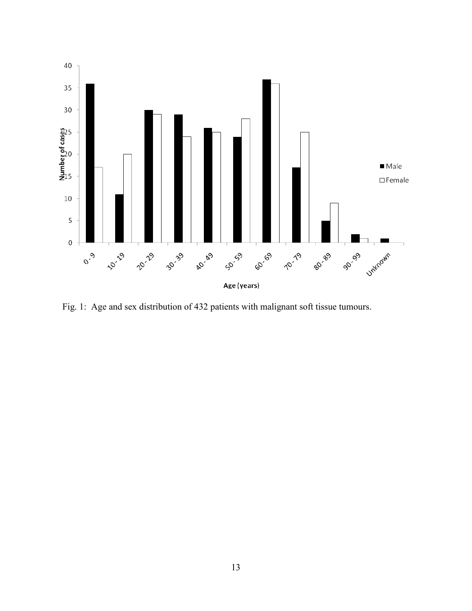

Fig. 1: Age and sex distribution of 432 patients with malignant soft tissue tumours.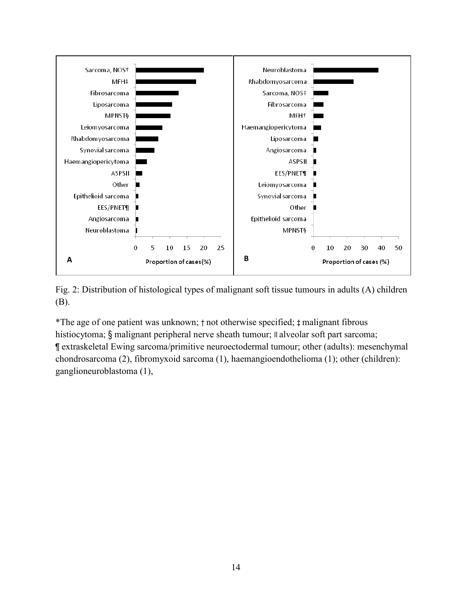

Fig. 2: Distribution of histological types of malignant soft tissue tumours in adults (A) children (B).

\*The age of one patient was unknown; † not otherwise specified; ‡ malignant fibrous histiocytoma; § malignant peripheral nerve sheath tumour; *II* alveolar soft part sarcoma; ¶ extraskeletal Ewing sarcoma/primitive neuroectodermal tumour; other (adults): mesenchymal chondrosarcoma (2), fibromyxoid sarcoma (1), haemangioendothelioma (1); other (children): ganglioneuroblastoma (1),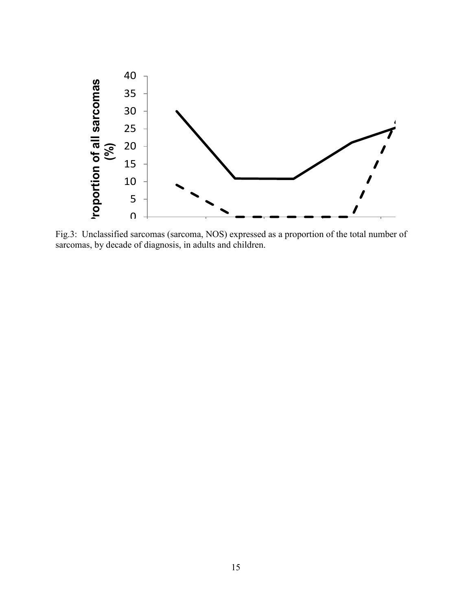

Fig.3: Unclassified sarcomas (sarcoma, NOS) expressed as a proportion of the total number of sarcomas, by decade of diagnosis, in adults and children.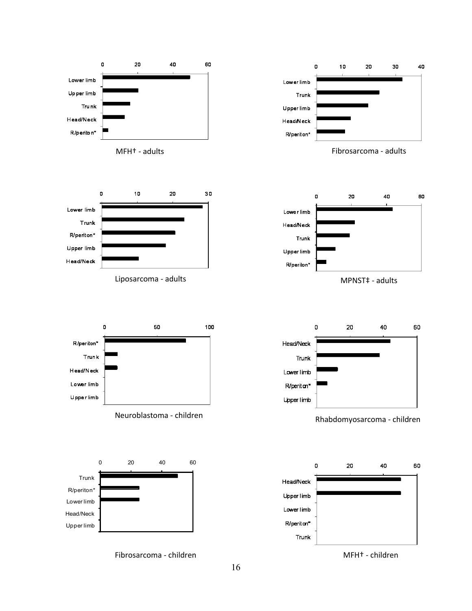



Liposarcoma - adults MPNST + adults



MFH† - adults Fibrosarcoma - adults